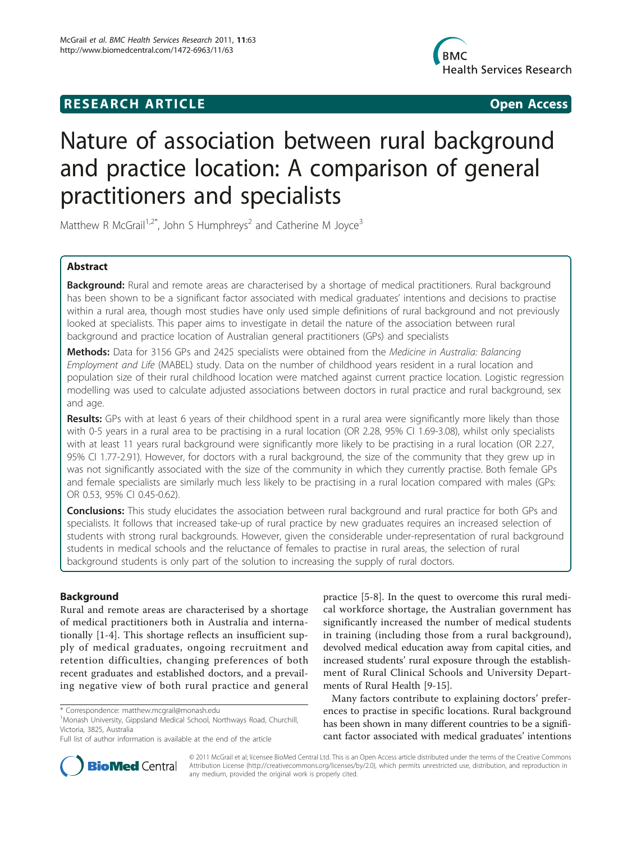# **RESEARCH ARTICLE Example 2018 CONSIDERING ACCESS**



# Nature of association between rural background and practice location: A comparison of general practitioners and specialists

Matthew R McGrail<sup>1,2\*</sup>, John S Humphreys<sup>2</sup> and Catherine M Joyce<sup>3</sup>

# Abstract

Background: Rural and remote areas are characterised by a shortage of medical practitioners. Rural background has been shown to be a significant factor associated with medical graduates' intentions and decisions to practise within a rural area, though most studies have only used simple definitions of rural background and not previously looked at specialists. This paper aims to investigate in detail the nature of the association between rural background and practice location of Australian general practitioners (GPs) and specialists

Methods: Data for 3156 GPs and 2425 specialists were obtained from the Medicine in Australia: Balancing Employment and Life (MABEL) study. Data on the number of childhood years resident in a rural location and population size of their rural childhood location were matched against current practice location. Logistic regression modelling was used to calculate adjusted associations between doctors in rural practice and rural background, sex and age.

Results: GPs with at least 6 years of their childhood spent in a rural area were significantly more likely than those with 0-5 years in a rural area to be practising in a rural location (OR 2.28, 95% CI 1.69-3.08), whilst only specialists with at least 11 years rural background were significantly more likely to be practising in a rural location (OR 2.27, 95% CI 1.77-2.91). However, for doctors with a rural background, the size of the community that they grew up in was not significantly associated with the size of the community in which they currently practise. Both female GPs and female specialists are similarly much less likely to be practising in a rural location compared with males (GPs: OR 0.53, 95% CI 0.45-0.62).

**Conclusions:** This study elucidates the association between rural background and rural practice for both GPs and specialists. It follows that increased take-up of rural practice by new graduates requires an increased selection of students with strong rural backgrounds. However, given the considerable under-representation of rural background students in medical schools and the reluctance of females to practise in rural areas, the selection of rural background students is only part of the solution to increasing the supply of rural doctors.

# Background

Rural and remote areas are characterised by a shortage of medical practitioners both in Australia and internationally [[1-4\]](#page-6-0). This shortage reflects an insufficient supply of medical graduates, ongoing recruitment and retention difficulties, changing preferences of both recent graduates and established doctors, and a prevailing negative view of both rural practice and general



Many factors contribute to explaining doctors' preferences to practise in specific locations. Rural background has been shown in many different countries to be a significant factor associated with medical graduates' intentions



© 2011 McGrail et al; licensee BioMed Central Ltd. This is an Open Access article distributed under the terms of the Creative Commons Attribution License [\(http://creativecommons.org/licenses/by/2.0](http://creativecommons.org/licenses/by/2.0)), which permits unrestricted use, distribution, and reproduction in any medium, provided the original work is properly cited.

<sup>\*</sup> Correspondence: [matthew.mcgrail@monash.edu](mailto:matthew.mcgrail@monash.edu)

<sup>&</sup>lt;sup>1</sup>Monash University, Gippsland Medical School, Northways Road, Churchill, Victoria, 3825, Australia

Full list of author information is available at the end of the article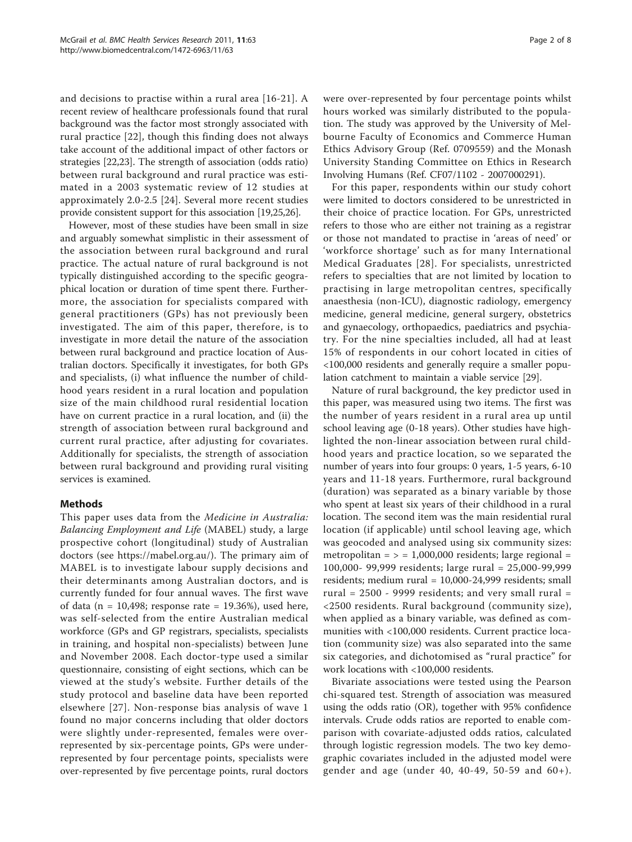and decisions to practise within a rural area [[16-21\]](#page-6-0). A recent review of healthcare professionals found that rural background was the factor most strongly associated with rural practice [\[22](#page-6-0)], though this finding does not always take account of the additional impact of other factors or strategies [\[22,23](#page-6-0)]. The strength of association (odds ratio) between rural background and rural practice was estimated in a 2003 systematic review of 12 studies at approximately 2.0-2.5 [[24\]](#page-6-0). Several more recent studies provide consistent support for this association [[19,25,26](#page-6-0)].

However, most of these studies have been small in size and arguably somewhat simplistic in their assessment of the association between rural background and rural practice. The actual nature of rural background is not typically distinguished according to the specific geographical location or duration of time spent there. Furthermore, the association for specialists compared with general practitioners (GPs) has not previously been investigated. The aim of this paper, therefore, is to investigate in more detail the nature of the association between rural background and practice location of Australian doctors. Specifically it investigates, for both GPs and specialists, (i) what influence the number of childhood years resident in a rural location and population size of the main childhood rural residential location have on current practice in a rural location, and (ii) the strength of association between rural background and current rural practice, after adjusting for covariates. Additionally for specialists, the strength of association between rural background and providing rural visiting services is examined.

# Methods

This paper uses data from the Medicine in Australia: Balancing Employment and Life (MABEL) study, a large prospective cohort (longitudinal) study of Australian doctors (see [https://mabel.org.au/](https://mabel.org.au)). The primary aim of MABEL is to investigate labour supply decisions and their determinants among Australian doctors, and is currently funded for four annual waves. The first wave of data ( $n = 10,498$ ; response rate = 19.36%), used here, was self-selected from the entire Australian medical workforce (GPs and GP registrars, specialists, specialists in training, and hospital non-specialists) between June and November 2008. Each doctor-type used a similar questionnaire, consisting of eight sections, which can be viewed at the study's website. Further details of the study protocol and baseline data have been reported elsewhere [[27\]](#page-6-0). Non-response bias analysis of wave 1 found no major concerns including that older doctors were slightly under-represented, females were overrepresented by six-percentage points, GPs were underrepresented by four percentage points, specialists were over-represented by five percentage points, rural doctors

were over-represented by four percentage points whilst hours worked was similarly distributed to the population. The study was approved by the University of Melbourne Faculty of Economics and Commerce Human Ethics Advisory Group (Ref. 0709559) and the Monash University Standing Committee on Ethics in Research Involving Humans (Ref. CF07/1102 - 2007000291).

For this paper, respondents within our study cohort were limited to doctors considered to be unrestricted in their choice of practice location. For GPs, unrestricted refers to those who are either not training as a registrar or those not mandated to practise in 'areas of need' or 'workforce shortage' such as for many International Medical Graduates [[28](#page-6-0)]. For specialists, unrestricted refers to specialties that are not limited by location to practising in large metropolitan centres, specifically anaesthesia (non-ICU), diagnostic radiology, emergency medicine, general medicine, general surgery, obstetrics and gynaecology, orthopaedics, paediatrics and psychiatry. For the nine specialties included, all had at least 15% of respondents in our cohort located in cities of <100,000 residents and generally require a smaller population catchment to maintain a viable service [[29\]](#page-6-0).

Nature of rural background, the key predictor used in this paper, was measured using two items. The first was the number of years resident in a rural area up until school leaving age (0-18 years). Other studies have highlighted the non-linear association between rural childhood years and practice location, so we separated the number of years into four groups: 0 years, 1-5 years, 6-10 years and 11-18 years. Furthermore, rural background (duration) was separated as a binary variable by those who spent at least six years of their childhood in a rural location. The second item was the main residential rural location (if applicable) until school leaving age, which was geocoded and analysed using six community sizes: metropolitan =  $>$  = 1,000,000 residents; large regional = 100,000- 99,999 residents; large rural = 25,000-99,999 residents; medium rural = 10,000-24,999 residents; small rural = 2500 - 9999 residents; and very small rural = <2500 residents. Rural background (community size), when applied as a binary variable, was defined as communities with <100,000 residents. Current practice location (community size) was also separated into the same six categories, and dichotomised as "rural practice" for work locations with <100,000 residents.

Bivariate associations were tested using the Pearson chi-squared test. Strength of association was measured using the odds ratio (OR), together with 95% confidence intervals. Crude odds ratios are reported to enable comparison with covariate-adjusted odds ratios, calculated through logistic regression models. The two key demographic covariates included in the adjusted model were gender and age (under 40, 40-49, 50-59 and 60+).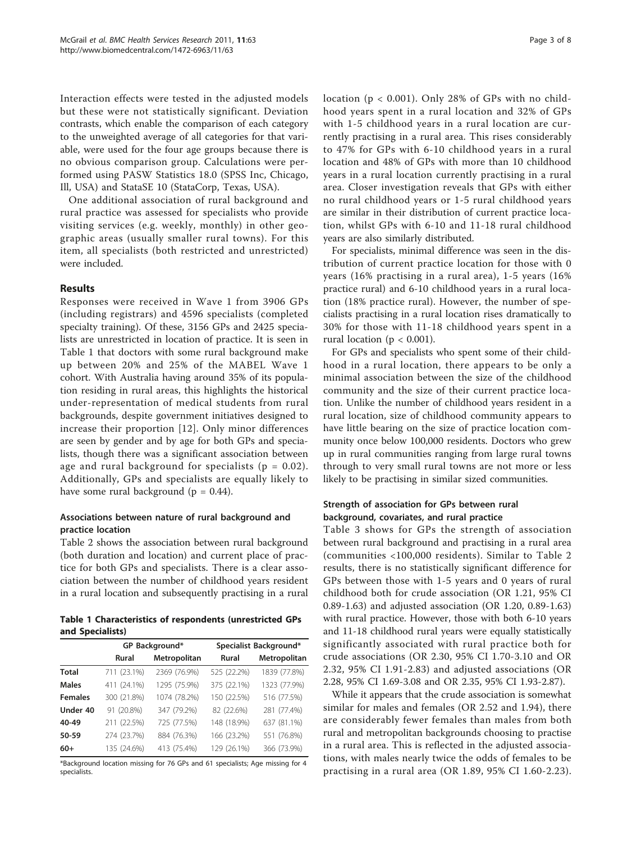Interaction effects were tested in the adjusted models but these were not statistically significant. Deviation contrasts, which enable the comparison of each category to the unweighted average of all categories for that variable, were used for the four age groups because there is no obvious comparison group. Calculations were performed using PASW Statistics 18.0 (SPSS Inc, Chicago, Ill, USA) and StataSE 10 (StataCorp, Texas, USA).

One additional association of rural background and rural practice was assessed for specialists who provide visiting services (e.g. weekly, monthly) in other geographic areas (usually smaller rural towns). For this item, all specialists (both restricted and unrestricted) were included.

### Results

Responses were received in Wave 1 from 3906 GPs (including registrars) and 4596 specialists (completed specialty training). Of these, 3156 GPs and 2425 specialists are unrestricted in location of practice. It is seen in Table 1 that doctors with some rural background make up between 20% and 25% of the MABEL Wave 1 cohort. With Australia having around 35% of its population residing in rural areas, this highlights the historical under-representation of medical students from rural backgrounds, despite government initiatives designed to increase their proportion [\[12\]](#page-6-0). Only minor differences are seen by gender and by age for both GPs and specialists, though there was a significant association between age and rural background for specialists ( $p = 0.02$ ). Additionally, GPs and specialists are equally likely to have some rural background ( $p = 0.44$ ).

# Associations between nature of rural background and practice location

Table [2](#page-3-0) shows the association between rural background (both duration and location) and current place of practice for both GPs and specialists. There is a clear association between the number of childhood years resident in a rural location and subsequently practising in a rural

Table 1 Characteristics of respondents (unrestricted GPs and Specialists)

|                |             | GP Background* | Specialist Background* |              |  |  |
|----------------|-------------|----------------|------------------------|--------------|--|--|
|                | Rural       | Metropolitan   | <b>Rural</b>           | Metropolitan |  |  |
| <b>Total</b>   | 711 (23.1%) | 2369 (76.9%)   | 525 (22.2%)            | 1839 (77.8%) |  |  |
| <b>Males</b>   | 411 (24.1%) | 1295 (75.9%)   | 375 (22.1%)            | 1323 (77.9%) |  |  |
| <b>Females</b> | 300 (21.8%) | 1074 (78.2%)   | 150 (22.5%)            | 516 (77.5%)  |  |  |
| Under 40       | 91 (20.8%)  | 347 (79.2%)    | 82 (22.6%)             | 281 (77.4%)  |  |  |
| 40-49          | 211 (22.5%) | 725 (77.5%)    | 148 (18.9%)            | 637 (81.1%)  |  |  |
| 50-59          | 274 (23.7%) | 884 (76.3%)    | 166 (23.2%)            | 551 (76.8%)  |  |  |
| $60+$          | 135 (24.6%) | 413 (75.4%)    | 129 (26.1%)            | 366 (73.9%)  |  |  |

\*Background location missing for 76 GPs and 61 specialists; Age missing for 4 specialists.

location ( $p < 0.001$ ). Only 28% of GPs with no childhood years spent in a rural location and 32% of GPs with 1-5 childhood years in a rural location are currently practising in a rural area. This rises considerably to 47% for GPs with 6-10 childhood years in a rural location and 48% of GPs with more than 10 childhood years in a rural location currently practising in a rural area. Closer investigation reveals that GPs with either no rural childhood years or 1-5 rural childhood years are similar in their distribution of current practice location, whilst GPs with 6-10 and 11-18 rural childhood years are also similarly distributed.

For specialists, minimal difference was seen in the distribution of current practice location for those with 0 years (16% practising in a rural area), 1-5 years (16% practice rural) and 6-10 childhood years in a rural location (18% practice rural). However, the number of specialists practising in a rural location rises dramatically to 30% for those with 11-18 childhood years spent in a rural location ( $p < 0.001$ ).

For GPs and specialists who spent some of their childhood in a rural location, there appears to be only a minimal association between the size of the childhood community and the size of their current practice location. Unlike the number of childhood years resident in a rural location, size of childhood community appears to have little bearing on the size of practice location community once below 100,000 residents. Doctors who grew up in rural communities ranging from large rural towns through to very small rural towns are not more or less likely to be practising in similar sized communities.

# Strength of association for GPs between rural background, covariates, and rural practice

Table [3](#page-3-0) shows for GPs the strength of association between rural background and practising in a rural area (communities <100,000 residents). Similar to Table [2](#page-3-0) results, there is no statistically significant difference for GPs between those with 1-5 years and 0 years of rural childhood both for crude association (OR 1.21, 95% CI 0.89-1.63) and adjusted association (OR 1.20, 0.89-1.63) with rural practice. However, those with both 6-10 years and 11-18 childhood rural years were equally statistically significantly associated with rural practice both for crude associations (OR 2.30, 95% CI 1.70-3.10 and OR 2.32, 95% CI 1.91-2.83) and adjusted associations (OR 2.28, 95% CI 1.69-3.08 and OR 2.35, 95% CI 1.93-2.87).

While it appears that the crude association is somewhat similar for males and females (OR 2.52 and 1.94), there are considerably fewer females than males from both rural and metropolitan backgrounds choosing to practise in a rural area. This is reflected in the adjusted associations, with males nearly twice the odds of females to be practising in a rural area (OR 1.89, 95% CI 1.60-2.23).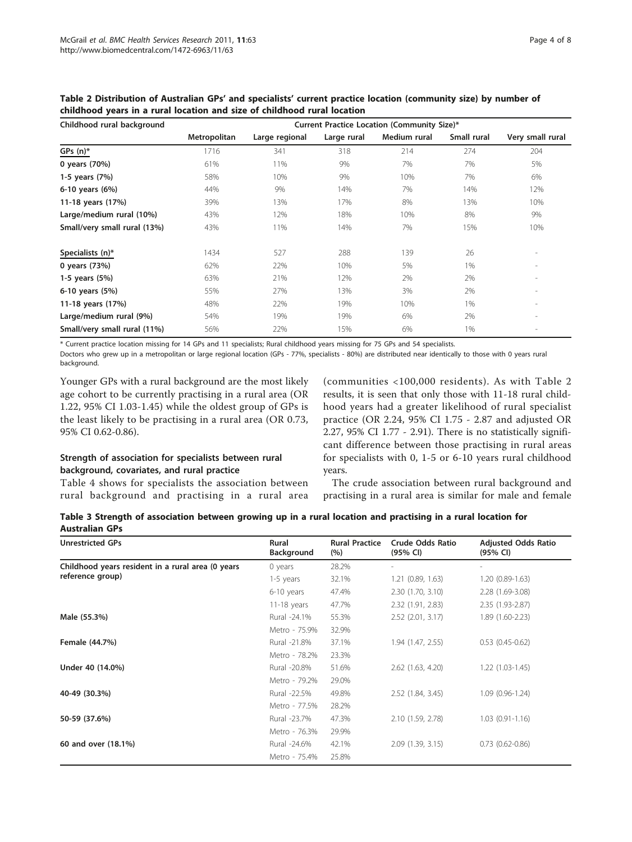| Childhood rural background   | Current Practice Location (Community Size)* |                |             |              |             |                          |  |  |  |
|------------------------------|---------------------------------------------|----------------|-------------|--------------|-------------|--------------------------|--|--|--|
|                              | Metropolitan                                | Large regional | Large rural | Medium rural | Small rural | Very small rural         |  |  |  |
| $GPs(n)^*$                   | 1716                                        | 341            | 318         | 214          | 274         | 204                      |  |  |  |
| 0 years (70%)                | 61%                                         | 11%            | 9%          | 7%           | 7%          | 5%                       |  |  |  |
| 1-5 years (7%)               | 58%                                         | 10%            | 9%          | 10%          | 7%          | 6%                       |  |  |  |
| 6-10 years (6%)              | 44%                                         | 9%             | 14%         | 7%           | 14%         | 12%                      |  |  |  |
| 11-18 years (17%)            | 39%                                         | 13%            | 17%         | 8%           | 13%         | 10%                      |  |  |  |
| Large/medium rural (10%)     | 43%                                         | 12%            | 18%         | 10%          | 8%          | 9%                       |  |  |  |
| Small/very small rural (13%) | 43%                                         | 11%            | 14%         | 7%           | 15%         | 10%                      |  |  |  |
| Specialists (n)*             | 1434                                        | 527            | 288         | 139          | 26          | $\overline{\phantom{a}}$ |  |  |  |
| 0 years (73%)                | 62%                                         | 22%            | 10%         | 5%           | 1%          | $\sim$                   |  |  |  |
| 1-5 years (5%)               | 63%                                         | 21%            | 12%         | 2%           | 2%          | $\overline{\phantom{a}}$ |  |  |  |
| 6-10 years (5%)              | 55%                                         | 27%            | 13%         | 3%           | 2%          | $\sim$                   |  |  |  |
| 11-18 years (17%)            | 48%                                         | 22%            | 19%         | 10%          | 1%          | $\overline{\phantom{a}}$ |  |  |  |
| Large/medium rural (9%)      | 54%                                         | 19%            | 19%         | 6%           | 2%          | $\overline{\phantom{a}}$ |  |  |  |
| Small/very small rural (11%) | 56%                                         | 22%            | 15%         | 6%           | 1%          | $\overline{\phantom{a}}$ |  |  |  |

<span id="page-3-0"></span>Table 2 Distribution of Australian GPs' and specialists' current practice location (community size) by number of childhood years in a rural location and size of childhood rural location

\* Current practice location missing for 14 GPs and 11 specialists; Rural childhood years missing for 75 GPs and 54 specialists.

Doctors who grew up in a metropolitan or large regional location (GPs - 77%, specialists - 80%) are distributed near identically to those with 0 years rural background.

Younger GPs with a rural background are the most likely age cohort to be currently practising in a rural area (OR 1.22, 95% CI 1.03-1.45) while the oldest group of GPs is the least likely to be practising in a rural area (OR 0.73, 95% CI 0.62-0.86).

# Strength of association for specialists between rural background, covariates, and rural practice

Table [4](#page-4-0) shows for specialists the association between rural background and practising in a rural area (communities <100,000 residents). As with Table 2 results, it is seen that only those with 11-18 rural childhood years had a greater likelihood of rural specialist practice (OR 2.24, 95% CI 1.75 - 2.87 and adjusted OR 2.27, 95% CI 1.77 - 2.91). There is no statistically significant difference between those practising in rural areas for specialists with 0, 1-5 or 6-10 years rural childhood years.

The crude association between rural background and practising in a rural area is similar for male and female

| Table 3 Strength of association between growing up in a rural location and practising in a rural location for |  |  |  |  |  |
|---------------------------------------------------------------------------------------------------------------|--|--|--|--|--|
| <b>Australian GPs</b>                                                                                         |  |  |  |  |  |

| <b>Unrestricted GPs</b>                           | Rural<br>Background | <b>Rural Practice</b><br>(%) | <b>Crude Odds Ratio</b><br>(95% CI) | <b>Adjusted Odds Ratio</b><br>$(95% \; \text{Cl})$ |
|---------------------------------------------------|---------------------|------------------------------|-------------------------------------|----------------------------------------------------|
| Childhood years resident in a rural area (0 years | 0 years             | 28.2%                        |                                     |                                                    |
| reference group)                                  | 1-5 years           | 32.1%                        | 1.21(0.89, 1.63)                    | $1.20(0.89-1.63)$                                  |
|                                                   | 6-10 years          | 47.4%                        | 2.30(1.70, 3.10)                    | 2.28 (1.69-3.08)                                   |
|                                                   | $11-18$ years       | 47.7%                        | 2.32 (1.91, 2.83)                   | 2.35 (1.93-2.87)                                   |
| Male (55.3%)                                      | Rural -24.1%        | 55.3%                        | $2.52$ (2.01, 3.17)                 | 1.89 (1.60-2.23)                                   |
|                                                   | Metro - 75.9%       | 32.9%                        |                                     |                                                    |
| Female (44.7%)                                    | Rural -21.8%        | 37.1%                        | 1.94 (1.47, 2.55)                   | $0.53(0.45-0.62)$                                  |
|                                                   | Metro - 78.2%       | 23.3%                        |                                     |                                                    |
| Under 40 (14.0%)                                  | Rural -20.8%        | 51.6%                        | $2.62$ (1.63, 4.20)                 | $1.22(1.03-1.45)$                                  |
|                                                   | Metro - 79.2%       | 29.0%                        |                                     |                                                    |
| 40-49 (30.3%)                                     | Rural -22.5%        | 49.8%                        | 2.52 (1.84, 3.45)                   | $1.09(0.96 - 1.24)$                                |
|                                                   | Metro - 77.5%       | 28.2%                        |                                     |                                                    |
| 50-59 (37.6%)                                     | Rural -23.7%        | 47.3%                        | 2.10 (1.59, 2.78)                   | $1.03(0.91 - 1.16)$                                |
|                                                   | Metro - 76.3%       | 29.9%                        |                                     |                                                    |
| 60 and over (18.1%)                               | Rural -24.6%        | 42.1%                        | 2.09(1.39, 3.15)                    | $0.73(0.62 - 0.86)$                                |
|                                                   | Metro - 75.4%       | 25.8%                        |                                     |                                                    |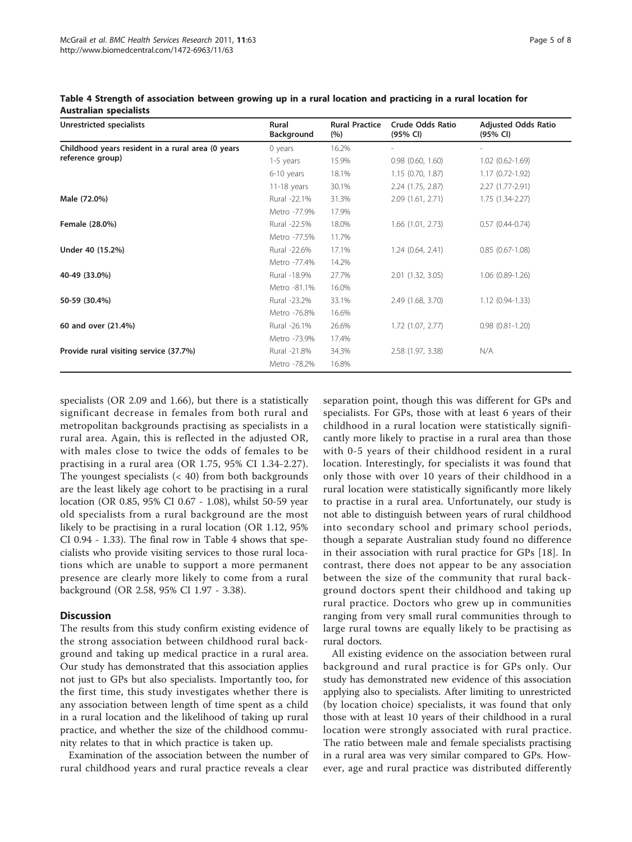| Unrestricted specialists                          | Rural<br>Background | <b>Rural Practice</b><br>(%) | <b>Crude Odds Ratio</b><br>(95% CI) | <b>Adjusted Odds Ratio</b><br>(95% CI) |  |
|---------------------------------------------------|---------------------|------------------------------|-------------------------------------|----------------------------------------|--|
| Childhood years resident in a rural area (0 years | $0$ years           | 16.2%                        |                                     |                                        |  |
| reference group)                                  | 1-5 years           | 15.9%                        | $0.98$ $(0.60, 1.60)$               | $1.02(0.62 - 1.69)$                    |  |
|                                                   | 6-10 years          | 18.1%                        | 1.15(0.70, 1.87)                    | $1.17(0.72 - 1.92)$                    |  |
|                                                   | $11-18$ years       | 30.1%                        | $2.24$ (1.75, 2.87)                 | 2.27 (1.77-2.91)                       |  |
| Male (72.0%)                                      | Rural -22.1%        | 31.3%                        | 2.09(1.61, 2.71)                    | $1.75(1.34-2.27)$                      |  |
|                                                   | Metro -77.9%        | 17.9%                        |                                     |                                        |  |
| Female (28.0%)                                    | Rural -22.5%        | 18.0%                        | $1.66$ $(1.01, 2.73)$               | $0.57(0.44-0.74)$                      |  |
|                                                   | Metro -77.5%        | 11.7%                        |                                     |                                        |  |
| Under 40 (15.2%)                                  | Rural -22.6%        | 17.1%                        | 1.24(0.64, 2.41)                    | $0.85(0.67-1.08)$                      |  |
|                                                   | Metro -77.4%        | 14.2%                        |                                     |                                        |  |
| 40-49 (33.0%)                                     | Rural -18.9%        | 27.7%                        | 2.01 (1.32, 3.05)                   | $1.06(0.89-1.26)$                      |  |
|                                                   | Metro -81.1%        | 16.0%                        |                                     |                                        |  |
| 50-59 (30.4%)                                     | Rural -23.2%        | 33.1%                        | 2.49 (1.68, 3.70)                   | $1.12(0.94-1.33)$                      |  |
|                                                   | Metro -76.8%        | 16.6%                        |                                     |                                        |  |
| 60 and over (21.4%)                               | Rural -26.1%        | 26.6%                        | $1.72$ $(1.07, 2.77)$               | $0.98(0.81 - 1.20)$                    |  |
|                                                   | Metro -73.9%        | 17.4%                        |                                     |                                        |  |
| Provide rural visiting service (37.7%)            | Rural -21.8%        | 34.3%                        | 2.58 (1.97, 3.38)                   | N/A                                    |  |
|                                                   | Metro -78.2%        | 16.8%                        |                                     |                                        |  |

<span id="page-4-0"></span>Table 4 Strength of association between growing up in a rural location and practicing in a rural location for Australian specialists

specialists (OR 2.09 and 1.66), but there is a statistically significant decrease in females from both rural and metropolitan backgrounds practising as specialists in a rural area. Again, this is reflected in the adjusted OR, with males close to twice the odds of females to be practising in a rural area (OR 1.75, 95% CI 1.34-2.27). The youngest specialists  $( $40$ ) from both backgrounds$ are the least likely age cohort to be practising in a rural location (OR 0.85, 95% CI 0.67 - 1.08), whilst 50-59 year old specialists from a rural background are the most likely to be practising in a rural location (OR 1.12, 95% CI 0.94 - 1.33). The final row in Table 4 shows that specialists who provide visiting services to those rural locations which are unable to support a more permanent presence are clearly more likely to come from a rural background (OR 2.58, 95% CI 1.97 - 3.38).

# **Discussion**

The results from this study confirm existing evidence of the strong association between childhood rural background and taking up medical practice in a rural area. Our study has demonstrated that this association applies not just to GPs but also specialists. Importantly too, for the first time, this study investigates whether there is any association between length of time spent as a child in a rural location and the likelihood of taking up rural practice, and whether the size of the childhood community relates to that in which practice is taken up.

Examination of the association between the number of rural childhood years and rural practice reveals a clear

separation point, though this was different for GPs and specialists. For GPs, those with at least 6 years of their childhood in a rural location were statistically significantly more likely to practise in a rural area than those with 0-5 years of their childhood resident in a rural location. Interestingly, for specialists it was found that only those with over 10 years of their childhood in a rural location were statistically significantly more likely to practise in a rural area. Unfortunately, our study is not able to distinguish between years of rural childhood into secondary school and primary school periods, though a separate Australian study found no difference in their association with rural practice for GPs [[18\]](#page-6-0). In contrast, there does not appear to be any association between the size of the community that rural background doctors spent their childhood and taking up rural practice. Doctors who grew up in communities ranging from very small rural communities through to large rural towns are equally likely to be practising as rural doctors.

All existing evidence on the association between rural background and rural practice is for GPs only. Our study has demonstrated new evidence of this association applying also to specialists. After limiting to unrestricted (by location choice) specialists, it was found that only those with at least 10 years of their childhood in a rural location were strongly associated with rural practice. The ratio between male and female specialists practising in a rural area was very similar compared to GPs. However, age and rural practice was distributed differently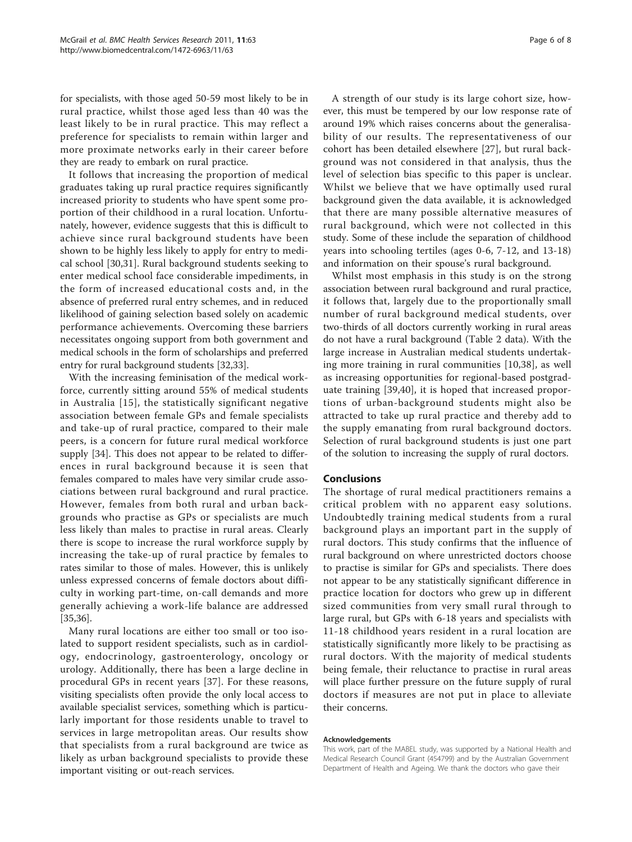for specialists, with those aged 50-59 most likely to be in rural practice, whilst those aged less than 40 was the least likely to be in rural practice. This may reflect a preference for specialists to remain within larger and more proximate networks early in their career before they are ready to embark on rural practice.

It follows that increasing the proportion of medical graduates taking up rural practice requires significantly increased priority to students who have spent some proportion of their childhood in a rural location. Unfortunately, however, evidence suggests that this is difficult to achieve since rural background students have been shown to be highly less likely to apply for entry to medical school [[30,31\]](#page-6-0). Rural background students seeking to enter medical school face considerable impediments, in the form of increased educational costs and, in the absence of preferred rural entry schemes, and in reduced likelihood of gaining selection based solely on academic performance achievements. Overcoming these barriers necessitates ongoing support from both government and medical schools in the form of scholarships and preferred entry for rural background students [[32](#page-6-0),[33](#page-6-0)].

With the increasing feminisation of the medical workforce, currently sitting around 55% of medical students in Australia [[15](#page-6-0)], the statistically significant negative association between female GPs and female specialists and take-up of rural practice, compared to their male peers, is a concern for future rural medical workforce supply [[34](#page-6-0)]. This does not appear to be related to differences in rural background because it is seen that females compared to males have very similar crude associations between rural background and rural practice. However, females from both rural and urban backgrounds who practise as GPs or specialists are much less likely than males to practise in rural areas. Clearly there is scope to increase the rural workforce supply by increasing the take-up of rural practice by females to rates similar to those of males. However, this is unlikely unless expressed concerns of female doctors about difficulty in working part-time, on-call demands and more generally achieving a work-life balance are addressed [[35,36\]](#page-6-0).

Many rural locations are either too small or too isolated to support resident specialists, such as in cardiology, endocrinology, gastroenterology, oncology or urology. Additionally, there has been a large decline in procedural GPs in recent years [[37](#page-6-0)]. For these reasons, visiting specialists often provide the only local access to available specialist services, something which is particularly important for those residents unable to travel to services in large metropolitan areas. Our results show that specialists from a rural background are twice as likely as urban background specialists to provide these important visiting or out-reach services.

A strength of our study is its large cohort size, however, this must be tempered by our low response rate of around 19% which raises concerns about the generalisability of our results. The representativeness of our cohort has been detailed elsewhere [\[27](#page-6-0)], but rural background was not considered in that analysis, thus the level of selection bias specific to this paper is unclear. Whilst we believe that we have optimally used rural background given the data available, it is acknowledged that there are many possible alternative measures of rural background, which were not collected in this study. Some of these include the separation of childhood years into schooling tertiles (ages 0-6, 7-12, and 13-18) and information on their spouse's rural background.

Whilst most emphasis in this study is on the strong association between rural background and rural practice, it follows that, largely due to the proportionally small number of rural background medical students, over two-thirds of all doctors currently working in rural areas do not have a rural background (Table [2](#page-3-0) data). With the large increase in Australian medical students undertaking more training in rural communities [[10,38](#page-6-0)], as well as increasing opportunities for regional-based postgraduate training [[39](#page-6-0)[,40](#page-7-0)], it is hoped that increased proportions of urban-background students might also be attracted to take up rural practice and thereby add to the supply emanating from rural background doctors. Selection of rural background students is just one part of the solution to increasing the supply of rural doctors.

#### Conclusions

The shortage of rural medical practitioners remains a critical problem with no apparent easy solutions. Undoubtedly training medical students from a rural background plays an important part in the supply of rural doctors. This study confirms that the influence of rural background on where unrestricted doctors choose to practise is similar for GPs and specialists. There does not appear to be any statistically significant difference in practice location for doctors who grew up in different sized communities from very small rural through to large rural, but GPs with 6-18 years and specialists with 11-18 childhood years resident in a rural location are statistically significantly more likely to be practising as rural doctors. With the majority of medical students being female, their reluctance to practise in rural areas will place further pressure on the future supply of rural doctors if measures are not put in place to alleviate their concerns.

#### Acknowledgements

This work, part of the MABEL study, was supported by a National Health and Medical Research Council Grant (454799) and by the Australian Government Department of Health and Ageing. We thank the doctors who gave their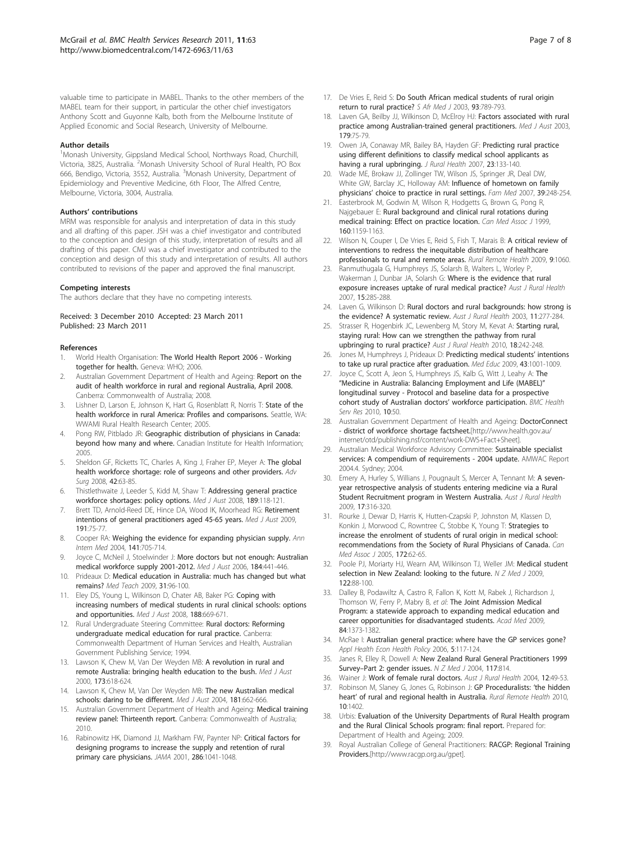<span id="page-6-0"></span>valuable time to participate in MABEL. Thanks to the other members of the MABEL team for their support, in particular the other chief investigators Anthony Scott and Guyonne Kalb, both from the Melbourne Institute of Applied Economic and Social Research, University of Melbourne.

#### Author details

<sup>1</sup>Monash University, Gippsland Medical School, Northways Road, Churchill, Victoria, 3825, Australia. <sup>2</sup>Monash University School of Rural Health, PO Box 666, Bendigo, Victoria, 3552, Australia. <sup>3</sup>Monash University, Department of Epidemiology and Preventive Medicine, 6th Floor, The Alfred Centre, Melbourne, Victoria, 3004, Australia.

#### Authors' contributions

MRM was responsible for analysis and interpretation of data in this study and all drafting of this paper. JSH was a chief investigator and contributed to the conception and design of this study, interpretation of results and all drafting of this paper. CMJ was a chief investigator and contributed to the conception and design of this study and interpretation of results. All authors contributed to revisions of the paper and approved the final manuscript.

#### Competing interests

The authors declare that they have no competing interests.

#### Received: 3 December 2010 Accepted: 23 March 2011 Published: 23 March 2011

#### References

- 1. World Health Organisation: The World Health Report 2006 Working together for health. Geneva: WHO; 2006.
- 2. Australian Government Department of Health and Ageing: Report on the audit of health workforce in rural and regional Australia, April 2008. Canberra: Commonwealth of Australia; 2008.
- 3. Lishner D, Larson E, Johnson K, Hart G, Rosenblatt R, Norris T: State of the health workforce in rural America: Profiles and comparisons. Seattle, WA: WWAMI Rural Health Research Center; 2005.
- Pong RW, Pitblado JR: Geographic distribution of physicians in Canada: beyond how many and where. Canadian Institute for Health Information; 2005.
- 5. Sheldon GF, Ricketts TC, Charles A, King J, Fraher EP, Meyer A: [The global](http://www.ncbi.nlm.nih.gov/pubmed/18953810?dopt=Abstract) [health workforce shortage: role of surgeons and other providers.](http://www.ncbi.nlm.nih.gov/pubmed/18953810?dopt=Abstract) Adv Sura 2008, 42:63-85.
- 6. Thistlethwaite J, Leeder S, Kidd M, Shaw T: [Addressing general practice](http://www.ncbi.nlm.nih.gov/pubmed/18637786?dopt=Abstract) [workforce shortages: policy options.](http://www.ncbi.nlm.nih.gov/pubmed/18637786?dopt=Abstract) Med J Aust 2008, 189:118-121.
- Brett TD, Arnold-Reed DE, Hince DA, Wood IK, Moorhead RG: [Retirement](http://www.ncbi.nlm.nih.gov/pubmed/19619089?dopt=Abstract) [intentions of general practitioners aged 45-65 years.](http://www.ncbi.nlm.nih.gov/pubmed/19619089?dopt=Abstract) Med J Aust 2009, 191:75-77.
- 8. Cooper RA: [Weighing the evidence for expanding physician supply.](http://www.ncbi.nlm.nih.gov/pubmed/15520427?dopt=Abstract) Ann Intern Med 2004, 141:705-714.
- 9. Joyce C, McNeil J, Stoelwinder J: [More doctors but not enough: Australian](http://www.ncbi.nlm.nih.gov/pubmed/16646743?dopt=Abstract) [medical workforce supply 2001-2012.](http://www.ncbi.nlm.nih.gov/pubmed/16646743?dopt=Abstract) Med J Aust 2006, 184:441-446.
- 10. Prideaux D: [Medical education in Australia: much has changed but what](http://www.ncbi.nlm.nih.gov/pubmed/19330667?dopt=Abstract) [remains?](http://www.ncbi.nlm.nih.gov/pubmed/19330667?dopt=Abstract) Med Teach 2009, 31:96-100.
- 11. Eley DS, Young L, Wilkinson D, Chater AB, Baker PG: [Coping with](http://www.ncbi.nlm.nih.gov/pubmed/18513178?dopt=Abstract) [increasing numbers of medical students in rural clinical schools: options](http://www.ncbi.nlm.nih.gov/pubmed/18513178?dopt=Abstract) [and opportunities.](http://www.ncbi.nlm.nih.gov/pubmed/18513178?dopt=Abstract) Med J Aust 2008, 188:669-671.
- 12. Rural Undergraduate Steering Committee: Rural doctors: Reforming undergraduate medical education for rural practice. Canberra: Commonwealth Department of Human Services and Health, Australian Government Publishing Service; 1994.
- 13. Lawson K, Chew M, Van Der Weyden MB: [A revolution in rural and](http://www.ncbi.nlm.nih.gov/pubmed/11379509?dopt=Abstract) [remote Australia: bringing health education to the bush.](http://www.ncbi.nlm.nih.gov/pubmed/11379509?dopt=Abstract) Med J Aust 2000, 173:618-624.
- 14. Lawson K, Chew M, Van Der Weyden MB: [The new Australian medical](http://www.ncbi.nlm.nih.gov/pubmed/15588204?dopt=Abstract) [schools: daring to be different.](http://www.ncbi.nlm.nih.gov/pubmed/15588204?dopt=Abstract) Med J Aust 2004, 181:662-666.
- 15. Australian Government Department of Health and Ageing: Medical training review panel: Thirteenth report. Canberra: Commonwealth of Australia; 2010.
- 16. Rabinowitz HK, Diamond JJ, Markham FW, Paynter NP: [Critical factors for](http://www.ncbi.nlm.nih.gov/pubmed/11559288?dopt=Abstract) [designing programs to increase the supply and retention of rural](http://www.ncbi.nlm.nih.gov/pubmed/11559288?dopt=Abstract) [primary care physicians.](http://www.ncbi.nlm.nih.gov/pubmed/11559288?dopt=Abstract) JAMA 2001, 286:1041-1048.
- 17. De Vries E, Reid S: [Do South African medical students of rural origin](http://www.ncbi.nlm.nih.gov/pubmed/14652974?dopt=Abstract) [return to rural practice?](http://www.ncbi.nlm.nih.gov/pubmed/14652974?dopt=Abstract) S Afr Med J 2003, 93:789-793.
- 18. Laven GA, Beilby JJ, Wilkinson D, McElroy HJ: [Factors associated with rural](http://www.ncbi.nlm.nih.gov/pubmed/12864716?dopt=Abstract) [practice among Australian-trained general practitioners.](http://www.ncbi.nlm.nih.gov/pubmed/12864716?dopt=Abstract) Med J Aust 2003, 179:75-79.
- 19. Owen JA, Conaway MR, Bailey BA, Hayden GF: [Predicting rural practice](http://www.ncbi.nlm.nih.gov/pubmed/17397369?dopt=Abstract) [using different definitions to classify medical school applicants as](http://www.ncbi.nlm.nih.gov/pubmed/17397369?dopt=Abstract) [having a rural upbringing.](http://www.ncbi.nlm.nih.gov/pubmed/17397369?dopt=Abstract) J Rural Health 2007, 23:133-140.
- 20. Wade ME, Brokaw JJ, Zollinger TW, Wilson JS, Springer JR, Deal DW, White GW, Barclay JC, Holloway AM: [Influence of hometown on family](http://www.ncbi.nlm.nih.gov/pubmed/17401768?dopt=Abstract) physicians' [choice to practice in rural settings.](http://www.ncbi.nlm.nih.gov/pubmed/17401768?dopt=Abstract) Fam Med 2007, 39:248-254.
- 21. Easterbrook M, Godwin M, Wilson R, Hodgetts G, Brown G, Pong R, Najgebauer E: Rural background and clinical rural rotations during medical training: Effect on practice location. Can Med Assoc J 1999, 160:1159-1163.
- 22. Wilson N, Couper I, De Vries E, Reid S, Fish T, Marais B: [A critical review of](http://www.ncbi.nlm.nih.gov/pubmed/19530891?dopt=Abstract) [interventions to redress the inequitable distribution of healthcare](http://www.ncbi.nlm.nih.gov/pubmed/19530891?dopt=Abstract) [professionals to rural and remote areas.](http://www.ncbi.nlm.nih.gov/pubmed/19530891?dopt=Abstract) Rural Remote Health 2009, 9:1060.
- Ranmuthugala G, Humphreys JS, Solarsh B, Walters L, Worley P, Wakerman J, Dunbar JA, Solarsh G: [Where is the evidence that rural](http://www.ncbi.nlm.nih.gov/pubmed/17760911?dopt=Abstract) [exposure increases uptake of rural medical practice?](http://www.ncbi.nlm.nih.gov/pubmed/17760911?dopt=Abstract) Aust J Rural Health 2007, 15:285-288.
- 24. Laven G, Wilkinson D: [Rural doctors and rural backgrounds: how strong is](http://www.ncbi.nlm.nih.gov/pubmed/14678410?dopt=Abstract) [the evidence? A systematic review.](http://www.ncbi.nlm.nih.gov/pubmed/14678410?dopt=Abstract) Aust J Rural Health 2003, 11:277-284.
- 25. Strasser R, Hogenbirk JC, Lewenberg M, Story M, Kevat A: [Starting rural,](http://www.ncbi.nlm.nih.gov/pubmed/21114701?dopt=Abstract) [staying rural: How can we strengthen the pathway from rural](http://www.ncbi.nlm.nih.gov/pubmed/21114701?dopt=Abstract) [upbringing to rural practice?](http://www.ncbi.nlm.nih.gov/pubmed/21114701?dopt=Abstract) Aust J Rural Health 2010, 18:242-248.
- 26. Jones M, Humphreys J, Prideaux D: [Predicting medical students](http://www.ncbi.nlm.nih.gov/pubmed/19769650?dopt=Abstract)' intentions [to take up rural practice after graduation.](http://www.ncbi.nlm.nih.gov/pubmed/19769650?dopt=Abstract) Med Educ 2009, 43:1001-1009.
- 27. Joyce C, Scott A, Jeon S, Humphreys JS, Kalb G, Witt J, Leahy A: [The](http://www.ncbi.nlm.nih.gov/pubmed/20181288?dopt=Abstract) "[Medicine in Australia: Balancing Employment and Life \(MABEL\)](http://www.ncbi.nlm.nih.gov/pubmed/20181288?dopt=Abstract)" [longitudinal survey - Protocol and baseline data for a prospective](http://www.ncbi.nlm.nih.gov/pubmed/20181288?dopt=Abstract) [cohort study of Australian doctors](http://www.ncbi.nlm.nih.gov/pubmed/20181288?dopt=Abstract)' workforce participation. BMC Health Serv Res 2010, 10:50.
- 28. Australian Government Department of Health and Ageing: DoctorConnect - district of workforce shortage factsheet.[[http://www.health.gov.au/](http://www.health.gov.au/internet/otd/publishing.nsf/content/work-DWS+Fact+Sheet) [internet/otd/publishing.nsf/content/work-DWS+Fact+Sheet](http://www.health.gov.au/internet/otd/publishing.nsf/content/work-DWS+Fact+Sheet)].
- 29. Australian Medical Workforce Advisory Committee: Sustainable specialist services: A compendium of requirements - 2004 update. AMWAC Report 2004.4. Sydney; 2004.
- 30. Emery A, Hurley S, Willians J, Pougnault S, Mercer A, Tennant M: [A seven](http://www.ncbi.nlm.nih.gov/pubmed/19930198?dopt=Abstract)[year retrospective analysis of students entering medicine via a Rural](http://www.ncbi.nlm.nih.gov/pubmed/19930198?dopt=Abstract) Student [Recruitment program in Western Australia.](http://www.ncbi.nlm.nih.gov/pubmed/19930198?dopt=Abstract) Aust J Rural Health 2009, 17:316-320.
- 31. Rourke J, Dewar D, Harris K, Hutten-Czapski P, Johnston M, Klassen D, Konkin J, Morwood C, Rowntree C, Stobbe K, Young T: Strategies to increase the enrolment of students of rural origin in medical school: recommendations from the Society of Rural Physicians of Canada. Can Med Assoc J 2005, 172:62-65.
- 32. Poole PJ, Moriarty HJ, Wearn AM, Wilkinson TJ, Weller JM: [Medical student](http://www.ncbi.nlm.nih.gov/pubmed/20145692?dopt=Abstract) [selection in New Zealand: looking to the future.](http://www.ncbi.nlm.nih.gov/pubmed/20145692?dopt=Abstract)  $N Z Med J 2009$ , 122:88-100.
- Dalley B, Podawiltz A, Castro R, Fallon K, Kott M, Rabek J, Richardson J, Thomson W, Ferry P, Mabry B, et al: [The Joint Admission Medical](http://www.ncbi.nlm.nih.gov/pubmed/19881424?dopt=Abstract) [Program: a statewide approach to expanding medical education and](http://www.ncbi.nlm.nih.gov/pubmed/19881424?dopt=Abstract) [career opportunities for disadvantaged students.](http://www.ncbi.nlm.nih.gov/pubmed/19881424?dopt=Abstract) Acad Med 2009, 84:1373-1382.
- 34. McRae I: [Australian general practice: where have the GP services gone?](http://www.ncbi.nlm.nih.gov/pubmed/16872252?dopt=Abstract) Appl Health Econ Health Policy 2006, 5:117-124.
- 35. Janes R, Elley R, Dowell A: New Zealand Rural General Practitioners 1999 Survey–Part 2: gender issues. N Z Med J 2004, 117:814.
- 36. Wainer J: [Work of female rural doctors.](http://www.ncbi.nlm.nih.gov/pubmed/15023221?dopt=Abstract) Aust J Rural Health 2004, 12:49-53.
- 37. Robinson M, Slaney G, Jones G, Robinson J: [GP Proceduralists:](http://www.ncbi.nlm.nih.gov/pubmed/20722462?dopt=Abstract) 'the hidden heart' [of rural and regional health in Australia.](http://www.ncbi.nlm.nih.gov/pubmed/20722462?dopt=Abstract) Rural Remote Health 2010, 10:1402.
- 38. Urbis: Evaluation of the University Departments of Rural Health program and the Rural Clinical Schools program: final report. Prepared for: Department of Health and Ageing; 2009.
- 39. Royal Australian College of General Practitioners: RACGP: Regional Training Providers.[\[http://www.racgp.org.au/gpet\]](http://www.racgp.org.au/gpet).